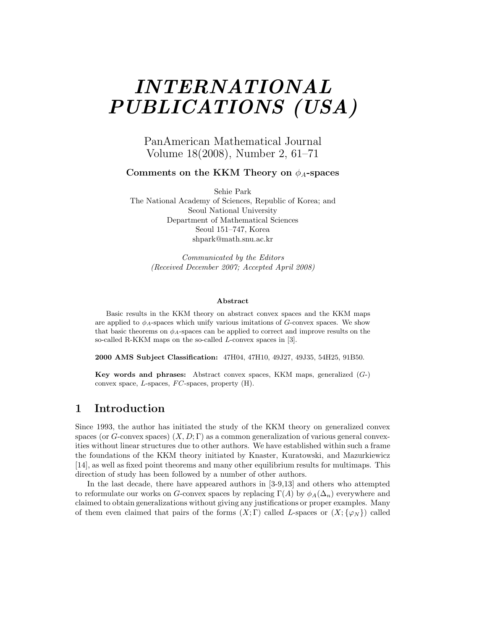# *INTERNATIONAL PUBLICATIONS (USA)*

PanAmerican Mathematical Journal Volume 18(2008), Number 2, 61–71

Comments on the KKM Theory on  $\phi_A$ -spaces

Sehie Park The National Academy of Sciences, Republic of Korea; and Seoul National University Department of Mathematical Sciences Seoul 151–747, Korea shpark@math.snu.ac.kr

> *Communicated by the Editors (Received December 2007; Accepted April 2008)*

#### **Abstract**

Basic results in the KKM theory on abstract convex spaces and the KKM maps are applied to  $\phi_A$ -spaces which unify various imitations of G-convex spaces. We show that basic theorems on  $\phi_A$ -spaces can be applied to correct and improve results on the so-called R-KKM maps on the so-called L-convex spaces in [3].

**2000 AMS Subject Classification:** 47H04, 47H10, 49J27, 49J35, 54H25, 91B50.

**Key words and phrases:** Abstract convex spaces, KKM maps, generalized (G-) convex space,  $L$ -spaces,  $FC$ -spaces, property  $(H)$ .

### **1 Introduction**

Since 1993, the author has initiated the study of the KKM theory on generalized convex spaces (or *G*-convex spaces)  $(X, D; \Gamma)$  as a common generalization of various general convexities without linear structures due to other authors. We have established within such a frame the foundations of the KKM theory initiated by Knaster, Kuratowski, and Mazurkiewicz [14], as well as fixed point theorems and many other equilibrium results for multimaps. This direction of study has been followed by a number of other authors.

In the last decade, there have appeared authors in [3-9,13] and others who attempted to reformulate our works on *G*-convex spaces by replacing  $\Gamma(A)$  by  $\phi_A(\Delta_n)$  everywhere and claimed to obtain generalizations without giving any justifications or proper examples. Many of them even claimed that pairs of the forms  $(X; \Gamma)$  called *L*-spaces or  $(X; {\varphi_N})$  called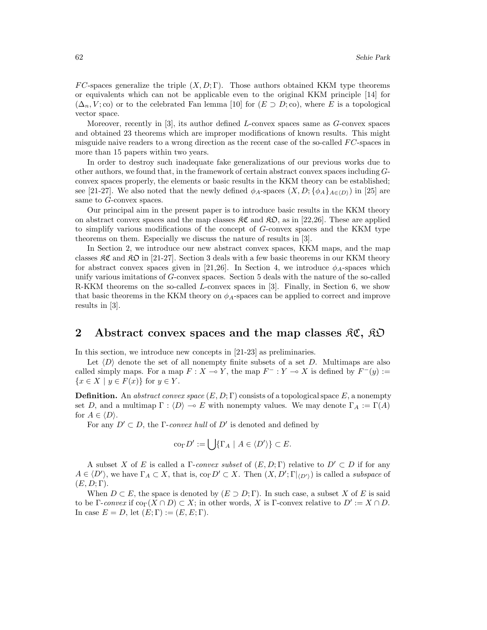*FC*-spaces generalize the triple  $(X, D; \Gamma)$ . Those authors obtained KKM type theorems or equivalents which can not be applicable even to the original KKM principle [14] for  $(\Delta_n, V; \text{co})$  or to the celebrated Fan lemma [10] for  $(E \supset D; \text{co})$ , where *E* is a topological vector space.

Moreover, recently in [3], its author defined *L*-convex spaces same as *G*-convex spaces and obtained 23 theorems which are improper modifications of known results. This might misguide naive readers to a wrong direction as the recent case of the so-called *F C*-spaces in more than 15 papers within two years.

In order to destroy such inadequate fake generalizations of our previous works due to other authors, we found that, in the framework of certain abstract convex spaces including *G*convex spaces properly, the elements or basic results in the KKM theory can be established; see [21-27]. We also noted that the newly defined  $\phi_A$ -spaces  $(X, D; {\phi_A}_{A \in (D)})$  in [25] are same to *G*-convex spaces.

Our principal aim in the present paper is to introduce basic results in the KKM theory on abstract convex spaces and the map classes  $\mathfrak{RC}$  and  $\mathfrak{RD}$ , as in [22,26]. These are applied to simplify various modifications of the concept of *G*-convex spaces and the KKM type theorems on them. Especially we discuss the nature of results in [3].

In Section 2, we introduce our new abstract convex spaces, KKM maps, and the map classes  $\mathcal{RC}$  and  $\mathcal{RD}$  in [21-27]. Section 3 deals with a few basic theorems in our KKM theory for abstract convex spaces given in [21,26]. In Section 4, we introduce  $\phi_A$ -spaces which unify various imitations of *G*-convex spaces. Section 5 deals with the nature of the so-called R-KKM theorems on the so-called *L*-convex spaces in [3]. Finally, in Section 6, we show that basic theorems in the KKM theory on  $\phi_A$ -spaces can be applied to correct and improve results in [3].

#### **2** Abstract convex spaces and the map classes  $\mathcal{RC}, \mathcal{RD}$

In this section, we introduce new concepts in [21-23] as preliminaries.

Let  $\langle D \rangle$  denote the set of all nonempty finite subsets of a set *D*. Multimaps are also called simply maps. For a map  $F: X \to Y$ , the map  $F^-: Y \to X$  is defined by  $F^-(y) :=$  $\{x \in X \mid y \in F(x)\}\$ for  $y \in Y$ .

**Definition.** An *abstract convex space*  $(E, D; \Gamma)$  consists of a topological space  $E$ , a nonempty set *D*, and a multimap  $\Gamma : \langle D \rangle \to E$  with nonempty values. We may denote  $\Gamma_A := \Gamma(A)$ for  $A \in \langle D \rangle$ .

For any  $D' \subset D$ , the *Γ-convex hull* of  $D'$  is denoted and defined by

$$
\operatorname{co}_{\Gamma} D' := \bigcup \{ \Gamma_A \mid A \in \langle D' \rangle \} \subset E.
$$

A subset *X* of *E* is called a  $\Gamma$ -*convex subset* of  $(E, D; \Gamma)$  relative to  $D' \subset D$  if for any  $A \in \langle D' \rangle$ , we have  $\Gamma_A \subset X$ , that is,  $\text{co}_{\Gamma} D' \subset X$ . Then  $(X, D'; \Gamma|_{\langle D' \rangle})$  is called a *subspace* of  $(E, D; \Gamma)$ .

When  $D \subset E$ , the space is denoted by  $(E \supset D; \Gamma)$ . In such case, a subset X of E is said to be Γ-*convex* if  $\text{co}_{\Gamma}(X \cap D) \subset X$ ; in other words, X is Γ-convex relative to  $D' := X \cap D$ . In case  $E = D$ , let  $(E; \Gamma) := (E, E; \Gamma)$ .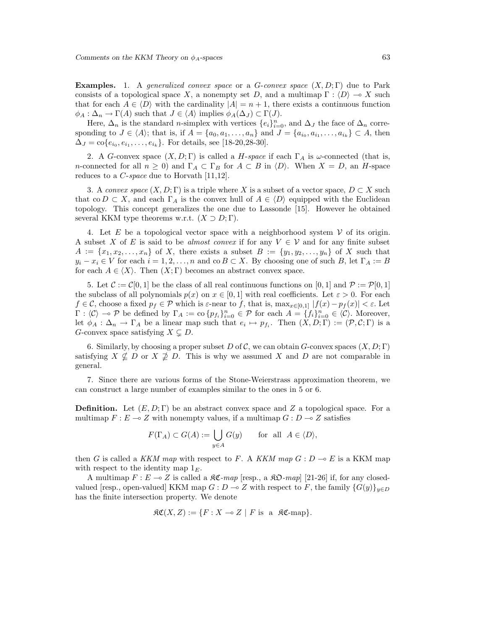**Examples.** 1. A *generalized convex space* or a *G*-*convex space* (*X, D*; Γ) due to Park consists of a topological space X, a nonempty set *D*, and a multimap  $\Gamma : \langle D \rangle \to X$  such that for each  $A \in \langle D \rangle$  with the cardinality  $|A| = n + 1$ , there exists a continuous function  $\phi_A : \Delta_n \to \Gamma(A)$  such that  $J \in \langle A \rangle$  implies  $\phi_A(\Delta_J) \subset \Gamma(J)$ .

Here,  $\Delta_n$  is the standard *n*-simplex with vertices  $\{e_i\}_{i=0}^n$ , and  $\Delta_j$  the face of  $\Delta_n$  corresponding to  $J \in \langle A \rangle$ ; that is, if  $A = \{a_0, a_1, \ldots, a_n\}$  and  $J = \{a_{i_0}, a_{i_1}, \ldots, a_{i_k}\} \subset A$ , then  $\Delta_J = \text{co}\{e_{i_0}, e_{i_1}, \ldots, e_{i_k}\}.$  For details, see [18-20,28-30].

2. A *G*-convex space  $(X, D; \Gamma)$  is called a *H-space* if each  $\Gamma_A$  is  $\omega$ -connected (that is, *n*-connected for all  $n \geq 0$ ) and  $\Gamma_A \subset \Gamma_B$  for  $A \subset B$  in  $\langle D \rangle$ . When  $X = D$ , an *H*-space reduces to a *C*-*space* due to Horvath [11,12].

3. A *convex space*  $(X, D; \Gamma)$  is a triple where X is a subset of a vector space,  $D \subset X$  such that co  $D \subset X$ , and each  $\Gamma_A$  is the convex hull of  $A \in \langle D \rangle$  equipped with the Euclidean topology. This concept generalizes the one due to Lassonde [15]. However he obtained several KKM type theorems w.r.t.  $(X \supset D; \Gamma)$ .

4. Let  $E$  be a topological vector space with a neighborhood system  $V$  of its origin. A subset X of *E* is said to be *almost convex* if for any  $V \in V$  and for any finite subset  $A := \{x_1, x_2, \ldots, x_n\}$  of *X*, there exists a subset  $B := \{y_1, y_2, \ldots, y_n\}$  of *X* such that  $y_i - x_i \in V$  for each  $i = 1, 2, ..., n$  and co  $B \subset X$ . By choosing one of such *B*, let  $\Gamma_A := B$ for each  $A \in \langle X \rangle$ . Then  $(X; \Gamma)$  becomes an abstract convex space.

5. Let  $\mathcal{C} := \mathcal{C}[0,1]$  be the class of all real continuous functions on  $[0,1]$  and  $\mathcal{P} := \mathcal{P}[0,1]$ the subclass of all polynomials  $p(x)$  on  $x \in [0,1]$  with real coefficients. Let  $\varepsilon > 0$ . For each  $f \in \mathcal{C}$ , choose a fixed  $p_f \in \mathcal{P}$  which is  $\varepsilon$ -near to f, that is,  $\max_{x \in [0,1]} |f(x) - p_f(x)| < \varepsilon$ . Let  $\Gamma : \langle \mathcal{C} \rangle \to \mathcal{P}$  be defined by  $\Gamma_A := \text{co} \{p_{f_i}\}_{i=0}^n \in \mathcal{P}$  for each  $A = \{f_i\}_{i=0}^n \in \langle \mathcal{C} \rangle$ . Moreover, let  $\phi_A : \Delta_n \to \Gamma_A$  be a linear map such that  $e_i \mapsto p_{f_i}$ . Then  $(X, D; \Gamma) := (\mathcal{P}, \mathcal{C}; \Gamma)$  is a *G*-convex space satisfying  $X \subsetneq D$ .

6. Similarly, by choosing a proper subset  $D$  of  $\mathcal{C}$ , we can obtain  $G$ -convex spaces  $(X, D; \Gamma)$ satisfying  $X \nsubseteq D$  or  $X \nsubseteq D$ . This is why we assumed X and D are not comparable in general.

7. Since there are various forms of the Stone-Weierstrass approximation theorem, we can construct a large number of examples similar to the ones in 5 or 6.

**Definition.** Let  $(E, D; \Gamma)$  be an abstract convex space and Z a topological space. For a multimap  $F: E \to Z$  with nonempty values, if a multimap  $G: D \to Z$  satisfies

$$
F(\Gamma_A) \subset G(A) := \bigcup_{y \in A} G(y) \quad \text{for all } A \in \langle D \rangle,
$$

then *G* is called a *KKM map* with respect to *F*. A *KKM map*  $G: D \to E$  is a KKM map with respect to the identity map 1*E*.

A multimap  $F: E \to Z$  is called a  $\Re \mathfrak{C}$ -map [resp., a  $\Re \mathfrak{O}$ -map] [21-26] if, for any closedvalued [resp., open-valued] KKM map  $G: D \to Z$  with respect to *F*, the family  $\{G(y)\}_{y \in D}$ has the finite intersection property. We denote

$$
\mathfrak{RC}(X,Z) := \{ F : X \multimap Z \mid F \text{ is a } \mathfrak{RC}\text{-map} \}.
$$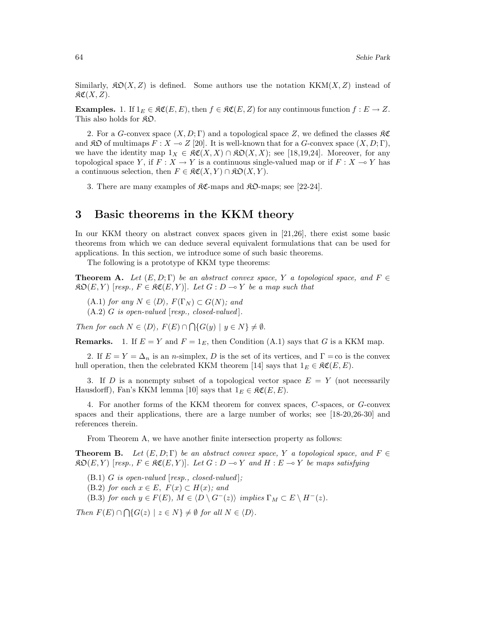Similarly,  $\mathfrak{K}(\mathcal{X},Z)$  is defined. Some authors use the notation KKM $(X,Z)$  instead of  $\mathfrak{RC}(X,Z)$ .

**Examples.** 1. If  $1_E \in \mathfrak{RC}(E, E)$ , then  $f \in \mathfrak{RC}(E, Z)$  for any continuous function  $f : E \to Z$ . This also holds for  $\mathfrak{K} \mathfrak{O}$ .

2. For a *G*-convex space  $(X, D; \Gamma)$  and a topological space Z, we defined the classes  $\Re\mathfrak{C}$ and  $\mathfrak{RO}$  of multimaps  $F : X \to Z$  [20]. It is well-known that for a *G*-convex space  $(X, D; \Gamma)$ , we have the identity map  $1_X \in \mathfrak{RC}(X,X) \cap \mathfrak{RO}(X,X)$ ; see [18,19,24]. Moreover, for any topological space *Y*, if  $F: X \to Y$  is a continuous single-valued map or if  $F: X \to Y$  has a continuous selection, then  $F \in \mathfrak{RC}(X,Y) \cap \mathfrak{KD}(X,Y)$ .

3. There are many examples of  $\mathcal{RC}$ -maps and  $\mathcal{RD}$ -maps; see [22-24].

#### **3 Basic theorems in the KKM theory**

In our KKM theory on abstract convex spaces given in [21,26], there exist some basic theorems from which we can deduce several equivalent formulations that can be used for applications. In this section, we introduce some of such basic theorems.

The following is a prototype of KKM type theorems:

**Theorem A.** *Let*  $(E, D; \Gamma)$  *be an abstract convex space, Y a topological space, and*  $F \in$  $R\mathfrak{O}(E, Y)$  [*resp.,*  $F \in R\mathfrak{C}(E, Y)$ ]. Let  $G : D \to Y$  be a map such that

 $(A.1)$  *for any*  $N \in \langle D \rangle$ *,*  $F(\Gamma_N) \subset G(N)$ *; and* 

(A.2) *G is open-valued* [*resp., closed-valued* ]*.*

*Then for each*  $N \in \langle D \rangle$ ,  $F(E) \cap \bigcap \{G(y) \mid y \in N\} \neq \emptyset$ .

**Remarks.** 1. If  $E = Y$  and  $F = 1<sub>E</sub>$ , then Condition (A.1) says that *G* is a KKM map.

2. If  $E = Y = \Delta_n$  is an *n*-simplex, *D* is the set of its vertices, and  $\Gamma = \infty$  is the convex hull operation, then the celebrated KKM theorem [14] says that  $1_E \in \mathfrak{RC}(E, E)$ .

3. If *D* is a nonempty subset of a topological vector space *E* = *Y* (not necessarily Hausdorff), Fan's KKM lemma [10] says that  $1_E \in \mathcal{RC}(E, E)$ .

4. For another forms of the KKM theorem for convex spaces, *C*-spaces, or *G*-convex spaces and their applications, there are a large number of works; see [18-20,26-30] and references therein.

From Theorem A, we have another finite intersection property as follows:

**Theorem B.** Let  $(E, D; \Gamma)$  be an abstract convex space, Y a topological space, and  $F \in$  $\mathcal{R} \mathcal{D}(E, Y)$  [resp.,  $F \in \mathcal{R} \mathfrak{C}(E, Y)$ ]. Let  $G : D \to Y$  and  $H : E \to Y$  be maps satisfying

(B.1) *G is open-valued* [*resp., closed-valued* ]*;*

 $(B.2)$  *for each*  $x \in E$ ,  $F(x) \subset H(x)$ *; and* 

(B.3) *for each*  $y \in F(E)$ *,*  $M \in \langle D \setminus G^{-}(z) \rangle$  *implies*  $\Gamma_M \subset E \setminus H^{-}(z)$ *.* 

*Then*  $F(E) \cap \bigcap \{ G(z) \mid z \in N \} \neq \emptyset$  for all  $N \in \langle D \rangle$ .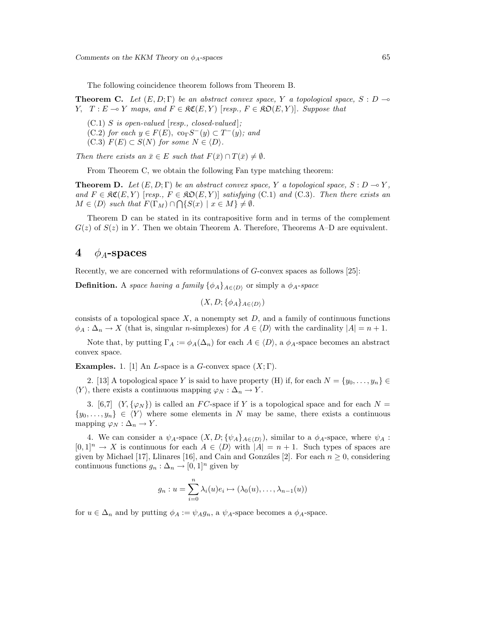The following coincidence theorem follows from Theorem B.

**Theorem C.** Let  $(E, D; \Gamma)$  be an abstract convex space, Y a topological space, S : D  $\rightarrow$ *Y,*  $T: E \to Y$  *maps, and*  $F \in \mathfrak{RC}(E, Y)$  [*resp.,*  $F \in \mathfrak{RO}(E, Y)$ ]*. Suppose that* 

(C.1) *S is open-valued* [*resp., closed-valued* ]*;*  $(C.2)$  *for each*  $y \in F(E)$ ,  $\text{co}_{\Gamma}S^{-}(y) \subset T^{-}(y)$ *; and*  $(C.3)$   $F(E) \subset S(N)$  *for some*  $N \in \langle D \rangle$ *.* 

*Then there exists an*  $\bar{x} \in E$  *such that*  $F(\bar{x}) \cap T(\bar{x}) \neq \emptyset$ *.* 

From Theorem C, we obtain the following Fan type matching theorem:

**Theorem D.** Let  $(E, D; \Gamma)$  be an abstract convex space, Y a topological space, S : D  $\rightarrow$  Y, *and*  $F \in \mathfrak{RC}(E, Y)$  [*resp.,*  $F \in \mathfrak{RO}(E, Y)$ ] *satisfying* (C.1) *and* (C.3)*. Then there exists an*  $M \in \langle D \rangle$  *such that*  $F(\Gamma_M) \cap \bigcap \{S(x) \mid x \in M\} \neq \emptyset$ .

Theorem D can be stated in its contrapositive form and in terms of the complement  $G(z)$  of  $S(z)$  in *Y*. Then we obtain Theorem A. Therefore, Theorems A–D are equivalent.

#### **4**  $\phi_A$ -spaces

Recently, we are concerned with reformulations of *G*-convex spaces as follows [25]:

**Definition.** A *space having a family*  $\{\phi_A\}_{A \in (D)}$  or simply a  $\phi_A$ -*space* 

$$
(X, D; \{\phi_A\}_{A \in \langle D \rangle})
$$

consists of a topological space  $X$ , a nonempty set  $D$ , and a family of continuous functions  $\phi_A : \Delta_n \to X$  (that is, singular *n*-simplexes) for  $A \in \langle D \rangle$  with the cardinality  $|A| = n + 1$ .

Note that, by putting  $\Gamma_A := \phi_A(\Delta_n)$  for each  $A \in \langle D \rangle$ , a  $\phi_A$ -space becomes an abstract convex space.

**Examples.** 1. [1] An *L*-space is a *G*-convex space  $(X; \Gamma)$ .

2. [13] A topological space *Y* is said to have property (H) if, for each  $N = \{y_0, \ldots, y_n\}$  $\langle Y \rangle$ , there exists a continuous mapping  $\varphi_N : \Delta_n \to Y$ .

3. [6,7]  $(Y, {\varphi_N})$  is called an *FC*-space if *Y* is a topological space and for each  $N =$  $\{y_0, \ldots, y_n\} \in \langle Y \rangle$  where some elements in *N* may be same, there exists a continuous mapping  $\varphi_N : \Delta_n \to Y$ .

4. We can consider a  $\psi_A$ -space  $(X, D; {\psi_A}_{A \in (D)})$ , similar to a  $\phi_A$ -space, where  $\psi_A$ :  $[0,1]^n \to X$  is continuous for each  $A \in \langle D \rangle$  with  $|A| = n + 1$ . Such types of spaces are given by Michael [17], Llinares [16], and Cain and Gonzáles [2]. For each  $n \geq 0$ , considering continuous functions  $g_n : \Delta_n \to [0,1]^n$  given by

$$
g_n: u = \sum_{i=0}^n \lambda_i(u)e_i \mapsto (\lambda_0(u), \dots, \lambda_{n-1}(u))
$$

for  $u \in \Delta_n$  and by putting  $\phi_A := \psi_A g_n$ , a  $\psi_A$ -space becomes a  $\phi_A$ -space.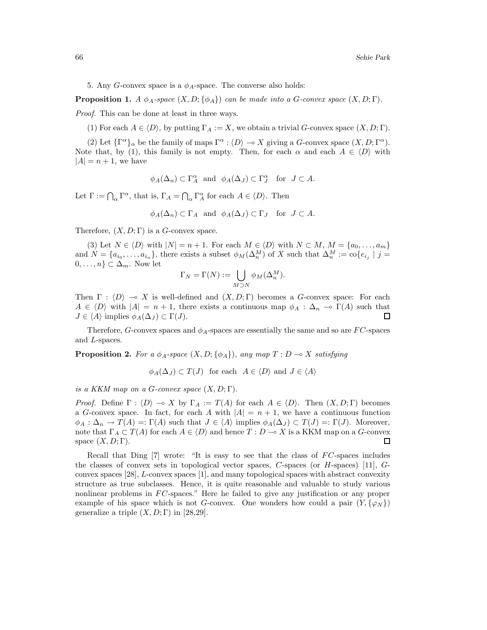5. Any *G*-convex space is a  $\phi_A$ -space. The converse also holds:

**Proposition 1.** *A*  $\phi_A$ -space  $(X, D; \{\phi_A\})$  *can be made into a G*-convex space  $(X, D; \Gamma)$ *.* 

*Proof.* This can be done at least in three ways.

(1) For each  $A \in \langle D \rangle$ , by putting  $\Gamma_A := X$ , we obtain a trivial *G*-convex space  $(X, D; \Gamma)$ .

(2) Let  $\{\Gamma^{\alpha}\}_\alpha$  be the family of maps  $\Gamma^{\alpha}$ :  $\langle D \rangle \to X$  giving a *G*-convex space  $(X, D; \Gamma^{\alpha})$ . Note that, by (1), this family is not empty. Then, for each  $\alpha$  and each  $A \in \langle D \rangle$  with  $|A| = n + 1$ , we have

$$
\phi_A(\Delta_n) \subset \Gamma_A^{\alpha}
$$
 and  $\phi_A(\Delta_J) \subset \Gamma_J^{\alpha}$  for  $J \subset A$ .

Let  $\Gamma := \bigcap_{\alpha} \Gamma^{\alpha}$ , that is,  $\Gamma_A = \bigcap_{\alpha} \Gamma^{\alpha}_A$  for each  $A \in \langle D \rangle$ . Then

$$
\phi_A(\Delta_n) \subset \Gamma_A
$$
 and  $\phi_A(\Delta_J) \subset \Gamma_J$  for  $J \subset A$ .

Therefore,  $(X, D; \Gamma)$  is a *G*-convex space.

(3) Let  $N \in \langle D \rangle$  with  $|N| = n + 1$ . For each  $M \in \langle D \rangle$  with  $N \subset M$ ,  $M = \{a_0, \ldots, a_m\}$ and  $N = \{a_{i_0}, \ldots, a_{i_n}\}$ , there exists a subset  $\phi_M(\Delta_n^M)$  of X such that  $\Delta_n^M := \text{co}\{e_{i_j} \mid j = 1\}$  $0,\ldots,n\}\subset\Delta_m$ . Now let

$$
\Gamma_N = \Gamma(N) := \bigcup_{M \supset N} \phi_M(\Delta_n^M).
$$

Then  $\Gamma$  :  $\langle D \rangle$   $\rightarrow \infty$  *X* is well-defined and  $(X, D; \Gamma)$  becomes a *G*-convex space: For each  $A \in \langle D \rangle$  with  $|A| = n + 1$ , there exists a continuous map  $\phi_A : \Delta_n \to \Gamma(A)$  such that  $J \in \langle A \rangle$  implies  $\phi_A(\Delta_J) \subset \Gamma(J)$ .  $\Box$ 

Therefore, *G*-convex spaces and  $\phi_A$ -spaces are essentially the same and so are *FC*-spaces and *L*-spaces.

**Proposition 2.** For a  $\phi_A$ -space  $(X, D; {\phi_A})$ *, any map*  $T: D \to X$  *satisfying* 

$$
\phi_A(\Delta_J) \subset T(J)
$$
 for each  $A \in \langle D \rangle$  and  $J \in \langle A \rangle$ 

*is a KKM map on a G*-convex space  $(X, D; \Gamma)$ *.* 

*Proof.* Define  $\Gamma : \langle D \rangle \to X$  by  $\Gamma_A := T(A)$  for each  $A \in \langle D \rangle$ . Then  $(X, D; \Gamma)$  becomes a *G*-convex space. In fact, for each *A* with  $|A| = n + 1$ , we have a continuous function  $\phi_A : \Delta_n \to T(A) =: \Gamma(A)$  such that  $J \in \langle A \rangle$  implies  $\phi_A(\Delta_J) \subset T(J) =: \Gamma(J)$ . Moreover, note that  $\Gamma_A \subset T(A)$  for each  $A \in \langle D \rangle$  and hence  $T : D \to X$  is a KKM map on a *G*-convex space  $(X, D; \Gamma)$ .  $\Box$ 

Recall that Ding [7] wrote: "It is easy to see that the class of *F C*-spaces includes the classes of convex sets in topological vector spaces, *C*-spaces (or *H*-spaces) [11], *G*convex spaces [28], *L*-convex spaces [1], and many topological spaces with abstract convexity structure as true subclasses. Hence, it is quite reasonable and valuable to study various nonlinear problems in *FC*-spaces." Here he failed to give any justification or any proper example of his space which is not *G*-convex. One wonders how could a pair  $(Y, \{\varphi_N\})$ generalize a triple  $(X, D; \Gamma)$  in [28,29].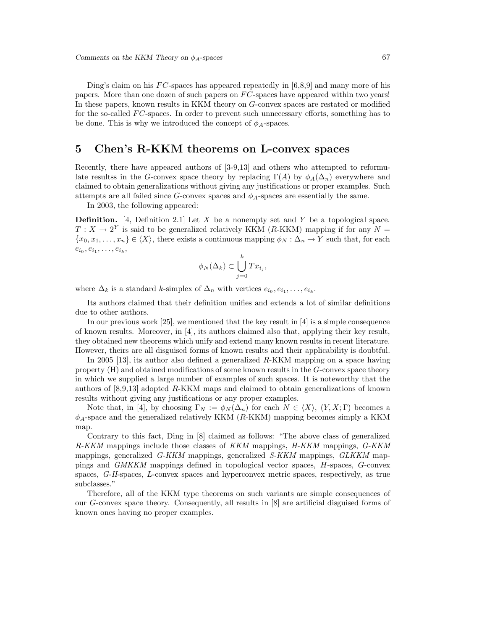Ding's claim on his *FC*-spaces has appeared repeatedly in [6,8,9] and many more of his papers. More than one dozen of such papers on *F C*-spaces have appeared within two years! In these papers, known results in KKM theory on *G*-convex spaces are restated or modified for the so-called *FC*-spaces. In order to prevent such unnecessary efforts, something has to be done. This is why we introduced the concept of  $\phi_A$ -spaces.

## **5 Chen's R-KKM theorems on L-convex spaces**

Recently, there have appeared authors of [3-9,13] and others who attempted to reformulate resultss in the *G*-convex space theory by replacing  $\Gamma(A)$  by  $\phi_A(\Delta_n)$  everywhere and claimed to obtain generalizations without giving any justifications or proper examples. Such attempts are all failed since  $G$ -convex spaces and  $\phi_A$ -spaces are essentially the same.

In 2003, the following appeared:

**Definition.** [4, Definition 2.1] Let *X* be a nonempty set and *Y* be a topological space.  $T: X \to 2^Y$  is said to be generalized relatively KKM (*R*-KKM) mapping if for any  $N =$  ${x_0, x_1, \ldots, x_n} \in \langle X \rangle$ , there exists a continuous mapping  $\phi_N : \Delta_n \to Y$  such that, for each  $e_{i_0}, e_{i_1}, \ldots, e_{i_k},$ 

$$
\phi_N(\Delta_k) \subset \bigcup_{j=0}^k Tx_{i_j},
$$

where  $\Delta_k$  is a standard *k*-simplex of  $\Delta_n$  with vertices  $e_{i_0}, e_{i_1}, \ldots, e_{i_k}$ .

Its authors claimed that their definition unifies and extends a lot of similar definitions due to other authors.

In our previous work  $[25]$ , we mentioned that the key result in  $[4]$  is a simple consequence of known results. Moreover, in [4], its authors claimed also that, applying their key result, they obtained new theorems which unify and extend many known results in recent literature. However, theirs are all disguised forms of known results and their applicability is doubtful.

In 2005 [13], its author also defined a generalized *R*-KKM mapping on a space having property (H) and obtained modifications of some known results in the *G*-convex space theory in which we supplied a large number of examples of such spaces. It is noteworthy that the authors of [8,9,13] adopted *R*-KKM maps and claimed to obtain generalizations of known results without giving any justifications or any proper examples.

Note that, in [4], by choosing  $\Gamma_N := \phi_N(\Delta_n)$  for each  $N \in \langle X \rangle$ ,  $(Y, X; \Gamma)$  becomes a *φA*-space and the generalized relatively KKM (*R*-KKM) mapping becomes simply a KKM map.

Contrary to this fact, Ding in [8] claimed as follows: "The above class of generalized *R-KKM* mappings include those classes of *KKM* mappings, *H-KKM* mappings, *G-KKM* mappings, generalized *G-KKM* mappings, generalized *S-KKM* mappings, *GLKKM* mappings and *GMKKM* mappings defined in topological vector spaces, *H*-spaces, *G*-convex spaces, *G-H*-spaces, *L*-convex spaces and hyperconvex metric spaces, respectively, as true subclasses."

Therefore, all of the KKM type theorems on such variants are simple consequences of our *G*-convex space theory. Consequently, all results in [8] are artificial disguised forms of known ones having no proper examples.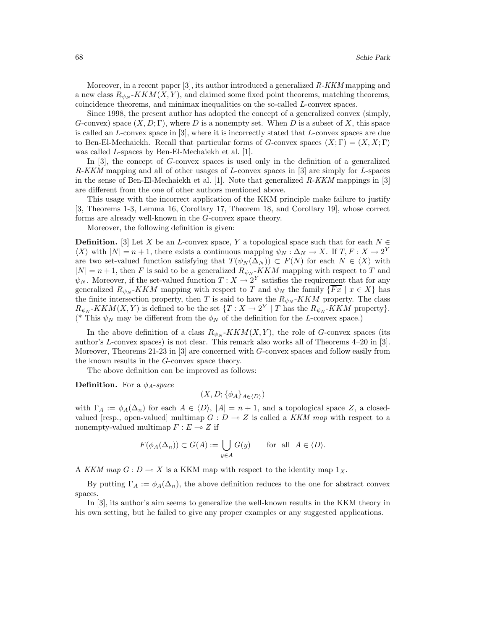Moreover, in a recent paper [3], its author introduced a generalized *R-KKM* mapping and a new class  $R_{\psi_N}$ - $KKM(X, Y)$ , and claimed some fixed point theorems, matching theorems, coincidence theorems, and minimax inequalities on the so-called *L*-convex spaces.

Since 1998, the present author has adopted the concept of a generalized convex (simply, *G*-convex) space (*X, D*; Γ), where *D* is a nonempty set. When *D* is a subset of *X*, this space is called an *L*-convex space in [3], where it is incorrectly stated that *L*-convex spaces are due to Ben-El-Mechaiekh. Recall that particular forms of *G*-convex spaces  $(X; \Gamma) = (X, X; \Gamma)$ was called *L*-spaces by Ben-El-Mechaiekh et al. [1].

In [3], the concept of *G*-convex spaces is used only in the definition of a generalized *R-KKM* mapping and all of other usages of *L*-convex spaces in [3] are simply for *L*-spaces in the sense of Ben-El-Mechaiekh et al. [1]. Note that generalized *R-KKM* mappings in [3] are different from the one of other authors mentioned above.

This usage with the incorrect application of the KKM principle make failure to justify [3, Theorems 1-3, Lemma 16, Corollary 17, Theorem 18, and Corollary 19], whose correct forms are already well-known in the *G*-convex space theory.

Moreover, the following definition is given:

**Definition.** [3] Let *X* be an *L*-convex space, *Y* a topological space such that for each  $N \in$  $\langle X \rangle$  with  $|N| = n + 1$ , there exists a continuous mapping  $\psi_N : \Delta_N \to X$ . If  $T, F : X \to 2^Y$ are two set-valued function satisfying that  $T(\psi_N(\Delta_N)) \subset F(N)$  for each  $N \in \langle X \rangle$  with  $|N| = n + 1$ , then *F* is said to be a generalized  $R_{\psi_N}$ -*KKM* mapping with respect to *T* and  $\psi_N$ . Moreover, if the set-valued function  $T: X \to 2^Y$  satisfies the requirement that for any generalized  $R_{\psi_N}$ -KKM mapping with respect to *T* and  $\psi_N$  the family  $\{\overline{Fx} \mid x \in X\}$  has the finite intersection property, then *T* is said to have the  $R_{\psi_N}$ -KKM property. The class  $R_{\psi_N}$ -*KKM*(*X,Y*) is defined to be the set  $\{T : X \to 2^Y \mid T \text{ has the } R_{\psi_N}$ -*KKM* property}. (\* This  $\psi_N$  may be different from the  $\phi_N$  of the definition for the *L*-convex space.)

In the above definition of a class  $R_{\psi_N}$ - $KKM(X, Y)$ , the role of *G*-convex spaces (its author's *L*-convex spaces) is not clear. This remark also works all of Theorems 4–20 in [3]. Moreover, Theorems 21-23 in [3] are concerned with *G*-convex spaces and follow easily from the known results in the *G*-convex space theory.

The above definition can be improved as follows:

**Definition.** For a *φA*-*space*

$$
(X, D; \{\phi_A\}_{A \in \langle D \rangle})
$$

with  $\Gamma_A := \phi_A(\Delta_n)$  for each  $A \in \langle D \rangle$ ,  $|A| = n + 1$ , and a topological space *Z*, a closedvalued [resp., open-valued] multimap  $G: D \to Z$  is called a *KKM map* with respect to a nonempty-valued multimap  $F: E \to Z$  if

$$
F(\phi_A(\Delta_n)) \subset G(A) := \bigcup_{y \in A} G(y) \quad \text{for all } A \in \langle D \rangle.
$$

A *KKM map*  $G: D \to X$  is a KKM map with respect to the identity map  $1_X$ .

By putting  $\Gamma_A := \phi_A(\Delta_n)$ , the above definition reduces to the one for abstract convex spaces.

In [3], its author's aim seems to generalize the well-known results in the KKM theory in his own setting, but he failed to give any proper examples or any suggested applications.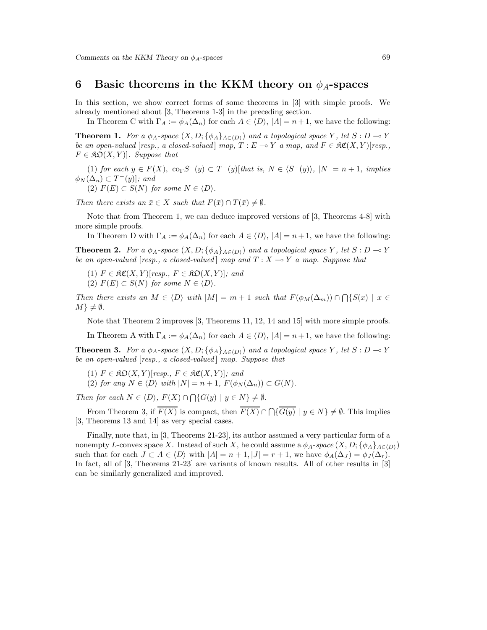#### **6** Basic theorems in the KKM theory on  $\phi_A$ -spaces

In this section, we show correct forms of some theorems in [3] with simple proofs. We already mentioned about [3, Theorems 1-3] in the preceding section.

In Theorem C with  $\Gamma_A := \phi_A(\Delta_n)$  for each  $A \in \langle D \rangle$ ,  $|A| = n + 1$ , we have the following:

**Theorem 1.** For a  $\phi_A$ -space  $(X, D; {\phi_A}_{A \in (D)})$  and a topological space *Y*, let  $S: D \to Y$ *be an open-valued* [*resp., a closed-valued*]  $map, T : E \rightarrow Y$  *a map, and*  $F \in \mathcal{RC}(X, Y)$ [*resp.,*  $F \in \mathfrak{RO}(X, Y)$ . Suppose that

 $(1)$  *for each*  $y \in F(X)$ ,  $\text{co}_{\Gamma}S^{-}(y) \subset T^{-}(y)$ [*that is,*  $N \in \langle S^{-}(y) \rangle$ ,  $|N| = n + 1$ *, implies*  $\phi_N(\Delta_n) \subset T^-(y)$ *; and* 

 $(P)$   $F(E) \subset S(N)$  *for some*  $N \in \langle D \rangle$ *.* 

*Then there exists an*  $\bar{x} \in X$  *such that*  $F(\bar{x}) \cap T(\bar{x}) \neq \emptyset$ *.* 

Note that from Theorem 1, we can deduce improved versions of [3, Theorems 4-8] with more simple proofs.

In Theorem D with  $\Gamma_A := \phi_A(\Delta_n)$  for each  $A \in \langle D \rangle$ ,  $|A| = n + 1$ , we have the following:

**Theorem 2.** For a  $\phi_A$ -space  $(X, D; {\phi_A}_{A \in D})$  and a topological space *Y*, let  $S: D \to Y$ *be an open-valued* [*resp., a closed-valued*] *map and*  $T : X \rightarrow Y$  *a map. Suppose that* 

 $(T)$   $F \in \mathfrak{RC}(X, Y)[resp., F \in \mathfrak{RO}(X, Y)];$  and

(2) 
$$
F(E) \subset S(N)
$$
 for some  $N \in \langle D \rangle$ .

*Then there exists an*  $M \in \langle D \rangle$  *with*  $|M| = m + 1$  *such that*  $F(\phi_M(\Delta_m)) \cap \bigcap \{S(x) \mid x \in$  $M$ <sup>}</sup>  $\neq \emptyset$ *.* 

Note that Theorem 2 improves [3, Theorems 11, 12, 14 and 15] with more simple proofs.

In Theorem A with  $\Gamma_A := \phi_A(\Delta_n)$  for each  $A \in \langle D \rangle$ ,  $|A| = n + 1$ , we have the following:

**Theorem 3.** For a  $\phi_A$ -space  $(X, D; \{\phi_A\}_{A \in (D)})$  and a topological space Y, let  $S: D \to Y$ *be an open-valued* [*resp., a closed-valued* ] *map. Suppose that*

- $(T)$   $F \in \mathfrak{RO}(X, Y)[\mathit{resp.}, F \in \mathfrak{RC}(X, Y)]$ ; and
- $(2)$  *for any*  $N \in \langle D \rangle$  *with*  $|N| = n + 1$ ,  $F(\phi_N(\Delta_n)) \subset G(N)$ *.*

*Then for each*  $N \in \langle D \rangle$ ,  $F(X) \cap \bigcap \{G(y) \mid y \in N\} \neq \emptyset$ .

From Theorem 3, if  $\overline{F(X)}$  is compact, then  $\overline{F(X)} \cap \bigcap {\overline{G(y)}} \mid y \in N \} \neq \emptyset$ . This implies [3, Theorems 13 and 14] as very special cases.

Finally, note that, in [3, Theorems 21-23], its author assumed a very particular form of a nonempty *L*-convex space *X*. Instead of such *X*, he could assume a  $\phi_A$ -space  $(X, D; {\phi_A}_{A \in D})$ such that for each  $J \subset A \in \langle D \rangle$  with  $|A| = n + 1$ ,  $|J| = r + 1$ , we have  $\phi_A(\Delta_J) = \phi_J(\Delta_r)$ . In fact, all of [3, Theorems 21-23] are variants of known results. All of other results in [3] can be similarly generalized and improved.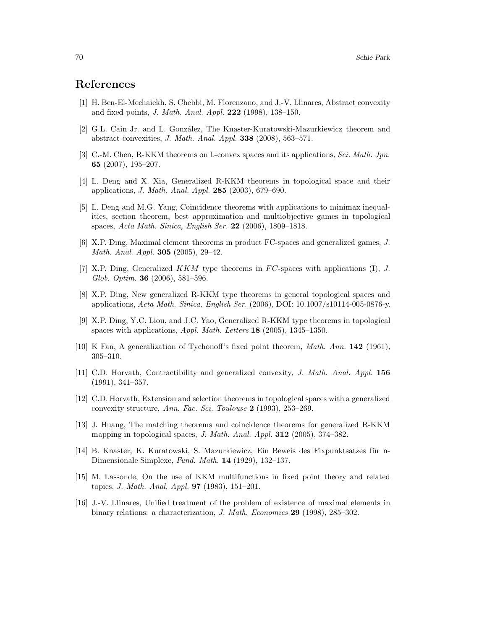#### **References**

- [1] H. Ben-El-Mechaiekh, S. Chebbi, M. Florenzano, and J.-V. Llinares, Abstract convexity and fixed points, *J. Math. Anal. Appl.* **222** (1998), 138–150.
- [2] G.L. Cain Jr. and L. González, The Knaster-Kuratowski-Mazurkiewicz theorem and abstract convexities, *J. Math. Anal. Appl.* **338** (2008), 563–571.
- [3] C.-M. Chen, R-KKM theorems on L-convex spaces and its applications, *Sci. Math. Jpn.* **65** (2007), 195–207.
- [4] L. Deng and X. Xia, Generalized R-KKM theorems in topological space and their applications, *J. Math. Anal. Appl.* **285** (2003), 679–690.
- [5] L. Deng and M.G. Yang, Coincidence theorems with applications to minimax inequalities, section theorem, best approximation and multiobjective games in topological spaces, *Acta Math. Sinica, English Ser.* **22** (2006), 1809–1818.
- [6] X.P. Ding, Maximal element theorems in product FC-spaces and generalized games, *J. Math. Anal. Appl.* **305** (2005), 29–42.
- [7] X.P. Ding, Generalized *KKM* type theorems in *F C*-spaces with applications (I), *J. Glob. Optim.* **36** (2006), 581–596.
- [8] X.P. Ding, New generalized R-KKM type theorems in general topological spaces and applications, *Acta Math. Sinica, English Ser.* (2006), DOI: 10.1007/s10114-005-0876-y.
- [9] X.P. Ding, Y.C. Liou, and J.C. Yao, Generalized R-KKM type theorems in topological spaces with applications, *Appl. Math. Letters* **18** (2005), 1345–1350.
- [10] K Fan, A generalization of Tychonoff's fixed point theorem, *Math. Ann.* **142** (1961), 305–310.
- [11] C.D. Horvath, Contractibility and generalized convexity, *J. Math. Anal. Appl.* **156** (1991), 341–357.
- [12] C.D. Horvath, Extension and selection theorems in topological spaces with a generalized convexity structure, *Ann. Fac. Sci. Toulouse* **2** (1993), 253–269.
- [13] J. Huang, The matching theorems and coincidence theorems for generalized R-KKM mapping in topological spaces, *J. Math. Anal. Appl.* **312** (2005), 374–382.
- [14] B. Knaster, K. Kuratowski, S. Mazurkiewicz, Ein Beweis des Fixpunktsatzes für n-Dimensionale Simplexe, *Fund. Math.* **14** (1929), 132–137.
- [15] M. Lassonde, On the use of KKM multifunctions in fixed point theory and related topics, *J. Math. Anal. Appl.* **97** (1983), 151–201.
- [16] J.-V. Llinares, Unified treatment of the problem of existence of maximal elements in binary relations: a characterization, *J. Math. Economics* **29** (1998), 285–302.